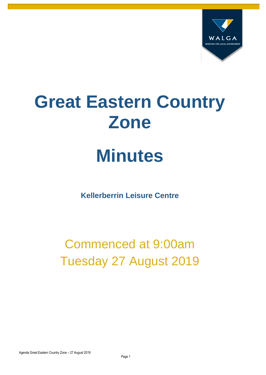

# **Great Eastern Country Zone**

# **Minutes**

**Kellerberrin Leisure Centre**

Commenced at 9:00am Tuesday 27 August 2019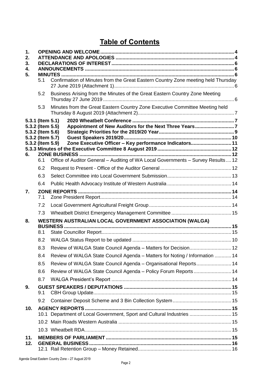# **Table of Contents**

| 1.<br>2.<br>3.<br>4. |                                                          |                                                                                                |  |  |
|----------------------|----------------------------------------------------------|------------------------------------------------------------------------------------------------|--|--|
| 5.                   | 5.1                                                      | Confirmation of Minutes from the Great Eastern Country Zone meeting held Thursday              |  |  |
|                      | 5.2                                                      | Business Arising from the Minutes of the Great Eastern Country Zone Meeting                    |  |  |
|                      | 5.3                                                      | Minutes from the Great Eastern Country Zone Executive Committee Meeting held                   |  |  |
|                      | 5.3.1 (Item 5.1)<br>5.3.2 (Item 5.5)<br>5.3.2 (Item 5.6) | 5.3.2 (Item 5.7)<br>Zone Executive Officer - Key performance Indicators 11<br>5.3.2 (Item 5.9) |  |  |
|                      |                                                          |                                                                                                |  |  |
| 6.                   | 6.1                                                      | Office of Auditor General - Auditing of WA Local Governments - Survey Results 12               |  |  |
|                      | 6.2                                                      |                                                                                                |  |  |
|                      | 6.3                                                      |                                                                                                |  |  |
|                      | 6.4                                                      |                                                                                                |  |  |
| 7.                   | 7.1                                                      |                                                                                                |  |  |
|                      | 7.2                                                      |                                                                                                |  |  |
|                      | 7.3                                                      |                                                                                                |  |  |
| 8.                   |                                                          | WESTERN AUSTRALIAN LOCAL GOVERNMENT ASSOCIATION (WALGA)                                        |  |  |
|                      | 8.1                                                      |                                                                                                |  |  |
|                      | 8.2                                                      |                                                                                                |  |  |
|                      | 8.3                                                      | Review of WALGA State Council Agenda - Matters for Decision 12                                 |  |  |
|                      | 8.4                                                      | Review of WALGA State Council Agenda - Matters for Noting / Information  14                    |  |  |
|                      | 8.5                                                      | Review of WALGA State Council Agenda - Organisational Reports 14                               |  |  |
|                      | 8.6                                                      | Review of WALGA State Council Agenda - Policy Forum Reports 14                                 |  |  |
|                      | 8.7                                                      |                                                                                                |  |  |
| 9.                   | 9.1                                                      |                                                                                                |  |  |
|                      | 9.2                                                      |                                                                                                |  |  |
| 10.                  |                                                          | 10.1 Department of Local Government, Sport and Cultural Industries  15                         |  |  |
|                      |                                                          |                                                                                                |  |  |
|                      |                                                          |                                                                                                |  |  |
| 11.                  |                                                          |                                                                                                |  |  |
| 12.                  |                                                          |                                                                                                |  |  |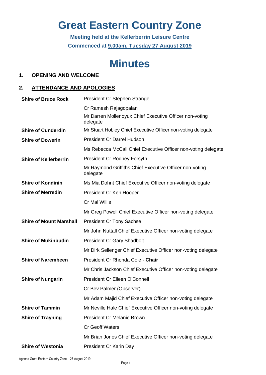# **Great Eastern Country Zone**

**Meeting held at the Kellerberrin Leisure Centre Commenced at 9.00am, Tuesday 27 August 2019**

# **Minutes**

# <span id="page-3-0"></span>**1. OPENING AND WELCOME**

# <span id="page-3-1"></span>**2. ATTENDANCE AND APOLOGIES**

| <b>Shire of Bruce Rock</b>     | President Cr Stephen Strange                                        |
|--------------------------------|---------------------------------------------------------------------|
|                                | Cr Ramesh Rajagopalan                                               |
|                                | Mr Darren Mollenoyux Chief Executive Officer non-voting<br>delegate |
| <b>Shire of Cunderdin</b>      | Mr Stuart Hobley Chief Executive Officer non-voting delegate        |
| <b>Shire of Dowerin</b>        | <b>President Cr Darrel Hudson</b>                                   |
|                                | Ms Rebecca McCall Chief Executive Officer non-voting delegate       |
| <b>Shire of Kellerberrin</b>   | <b>President Cr Rodney Forsyth</b>                                  |
|                                | Mr Raymond Griffiths Chief Executive Officer non-voting<br>delegate |
| <b>Shire of Kondinin</b>       | Ms Mia Dohnt Chief Executive Officer non-voting delegate            |
| <b>Shire of Merredin</b>       | President Cr Ken Hooper                                             |
|                                | Cr Mal Willis                                                       |
|                                | Mr Greg Powell Chief Executive Officer non-voting delegate          |
| <b>Shire of Mount Marshall</b> | <b>President Cr Tony Sachse</b>                                     |
|                                | Mr John Nuttall Chief Executive Officer non-voting delegate         |
| <b>Shire of Mukinbudin</b>     | <b>President Cr Gary Shadbolt</b>                                   |
|                                | Mr Dirk Sellenger Chief Executive Officer non-voting delegate       |
| <b>Shire of Narembeen</b>      | President Cr Rhonda Cole - Chair                                    |
|                                | Mr Chris Jackson Chief Executive Officer non-voting delegate        |
| <b>Shire of Nungarin</b>       | President Cr Eileen O'Connell                                       |
|                                | Cr Bev Palmer (Observer)                                            |
|                                | Mr Adam Majid Chief Executive Officer non-voting delegate           |
| <b>Shire of Tammin</b>         | Mr Neville Hale Chief Executive Officer non-voting delegate         |
| <b>Shire of Trayning</b>       | <b>President Cr Melanie Brown</b>                                   |
|                                | <b>Cr Geoff Waters</b>                                              |
|                                | Mr Brian Jones Chief Executive Officer non-voting delegate          |
| <b>Shire of Westonia</b>       | President Cr Karin Day                                              |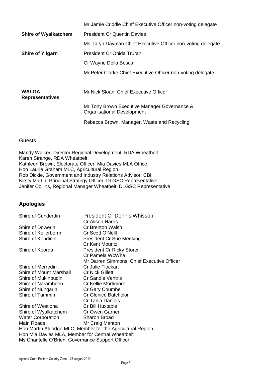|                                        | Mr Jamie Criddle Chief Executive Officer non-voting delegate               |  |
|----------------------------------------|----------------------------------------------------------------------------|--|
| <b>Shire of Wyalkatchem</b>            | <b>President Cr Quentin Davies</b>                                         |  |
|                                        | Ms Taryn Dayman Chief Executive Officer non-voting delegate                |  |
| <b>Shire of Yilgarn</b>                | President Cr Onida Truran                                                  |  |
|                                        | Cr Wayne Della Bosca                                                       |  |
|                                        | Mr Peter Clarke Chief Executive Officer non-voting delegate                |  |
|                                        |                                                                            |  |
| <b>WALGA</b><br><b>Representatives</b> | Mr Nick Sloan, Chief Executive Officer                                     |  |
|                                        | Mr Tony Brown Executive Manager Governance &<br>Organisational Development |  |
|                                        | Rebecca Brown, Manager, Waste and Recycling                                |  |

### **Guests**

Mandy Walker, Director Regional Development, RDA Wheatbelt Karen Strange, RDA Wheatbelt Kathleen Brown, Electorate Officer, Mia Davies MLA Office Hon Laurie Graham MLC, Agricultural Region Rob Dickie, Government and Industry Relations Advisor, CBH Kirsty Martin, Principal Strategy Officer, DLGSC Representative Jenifer Collins, Regional Manager Wheatbelt, DLGSC Representative

# **Apologies**

| Shire of Cunderdin                               | <b>President Cr Dennis Whisson</b>                          |  |  |  |
|--------------------------------------------------|-------------------------------------------------------------|--|--|--|
| Shire of Dowerin                                 | Cr Alison Harris<br><b>Cr Brenton Walsh</b>                 |  |  |  |
| Shire of Kellerberrin                            | Cr Scott O'Neill                                            |  |  |  |
| Shire of Kondinin                                |                                                             |  |  |  |
|                                                  | <b>President Cr Sue Meeking</b><br><b>Cr Kent Mouritz</b>   |  |  |  |
| Shire of Koorda                                  | <b>President Cr Ricky Storer</b>                            |  |  |  |
|                                                  | Cr Pamela WcWha                                             |  |  |  |
|                                                  | Mr Darren Simmons, Chief Executive Officer                  |  |  |  |
| Shire of Merredin                                | Cr Julie Flockart                                           |  |  |  |
| <b>Shire of Mount Marshall</b>                   | <b>Cr Nick Gillett</b>                                      |  |  |  |
| Shire of Mukinbudin                              | <b>Cr Sandie Ventris</b>                                    |  |  |  |
| Shire of Narambeen                               | Cr Kellie Mortimore                                         |  |  |  |
| Shire of Nungarin                                | Cr Gary Coumbe                                              |  |  |  |
| Shire of Tammin                                  | <b>Cr Glenice Batchelor</b>                                 |  |  |  |
|                                                  | <b>Cr Tania Daniels</b>                                     |  |  |  |
| Shire of Westiona                                | Cr Bill Huxtable                                            |  |  |  |
| Shire of Wyalkatchem                             | Cr Owen Garner                                              |  |  |  |
| <b>Water Corporation</b>                         | <b>Sharon Broad</b>                                         |  |  |  |
| Main Roads                                       | Mr Craig Manton                                             |  |  |  |
|                                                  | Hon Martin Aldridge MLC, Member for the Agricultural Region |  |  |  |
| Hon Mia Davies MLA, Member for Central Wheatbelt |                                                             |  |  |  |
| Ms Chantelle O'Brien, Governance Support Officer |                                                             |  |  |  |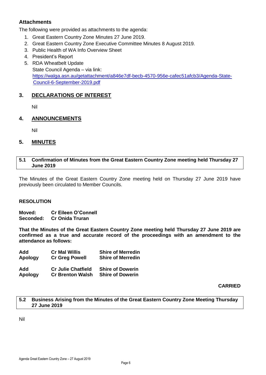# **Attachments**

The following were provided as attachments to the agenda:

- 1. Great Eastern Country Zone Minutes 27 June 2019.
- 2. Great Eastern Country Zone Executive Committee Minutes 8 August 2019.
- 3. Public Health of WA Info Overview Sheet
- 4. President's Report
- 5. RDA Wheatbelt Update State Council Agenda – via link: [https://walga.asn.au/getattachment/a846e7df-becb-4570-956e-cafec51afcb3/Agenda-State-](https://walga.asn.au/getattachment/a846e7df-becb-4570-956e-cafec51afcb3/Agenda-State-Council-6-September-2019.pdf)[Council-6-September-2019.pdf](https://walga.asn.au/getattachment/a846e7df-becb-4570-956e-cafec51afcb3/Agenda-State-Council-6-September-2019.pdf)

# <span id="page-5-0"></span>**3. DECLARATIONS OF INTEREST**

Nil

# <span id="page-5-1"></span>**4. ANNOUNCEMENTS**

Nil

# <span id="page-5-2"></span>**5. MINUTES**

### <span id="page-5-3"></span>**5.1 Confirmation of Minutes from the Great Eastern Country Zone meeting held Thursday 27 June 2019**

The Minutes of the Great Eastern Country Zone meeting held on Thursday 27 June 2019 have previously been circulated to Member Councils.

### **RESOLUTION**

**Moved: Cr Eileen O'Connell Seconded: Cr Onida Truran**

**That the Minutes of the Great Eastern Country Zone meeting held Thursday 27 June 2019 are confirmed as a true and accurate record of the proceedings with an amendment to the attendance as follows:**

| Add            | <b>Cr Mal Willis</b>      | <b>Shire of Merredin</b> |
|----------------|---------------------------|--------------------------|
| <b>Apology</b> | <b>Cr Greg Powell</b>     | <b>Shire of Merredin</b> |
| Add            | <b>Cr Julie Chatfield</b> | <b>Shire of Dowerin</b>  |
| <b>Apology</b> | <b>Cr Brenton Walsh</b>   | <b>Shire of Dowerin</b>  |

**CARRIED**

<span id="page-5-4"></span>**5.2 Business Arising from the Minutes of the Great Eastern Country Zone Meeting Thursday 27 June 2019**

Nil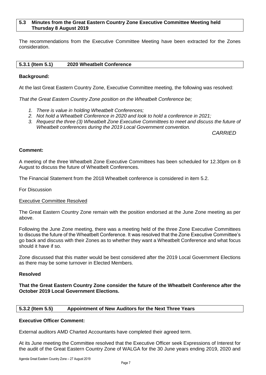#### <span id="page-6-0"></span>**5.3 Minutes from the Great Eastern Country Zone Executive Committee Meeting held Thursday 8 August 2019**

The recommendations from the Executive Committee Meeting have been extracted for the Zones consideration.

#### <span id="page-6-1"></span>**5.3.1 (Item 5.1) 2020 Wheatbelt Conference**

#### **Background:**

At the last Great Eastern Country Zone, Executive Committee meeting, the following was resolved:

*That the Great Eastern Country Zone position on the Wheatbelt Conference be;*

- *1. There is value in holding Wheatbelt Conferences;*
- *2. Not hold a Wheatbelt Conference in 2020 and look to hold a conference in 2021;*
- *3. Request the three (3) Wheatbelt Zone Executive Committees to meet and discuss the future of Wheatbelt conferences during the 2019 Local Government convention.*

*CARRIED*

#### **Comment:**

A meeting of the three Wheatbelt Zone Executive Committees has been scheduled for 12.30pm on 8 August to discuss the future of Wheatbelt Conferences.

The Financial Statement from the 2018 Wheatbelt conference is considered in item 5.2.

For Discussion

#### Executive Committee Resolved

The Great Eastern Country Zone remain with the position endorsed at the June Zone meeting as per above.

Following the June Zone meeting, there was a meeting held of the three Zone Executive Committees to discuss the future of the Wheatbelt Conference. It was resolved that the Zone Executive Committee's go back and discuss with their Zones as to whether they want a Wheatbelt Conference and what focus should it have if so.

Zone discussed that this matter would be best considered after the 2019 Local Government Elections as there may be some turnover in Elected Members.

#### **Resolved**

**That the Great Eastern Country Zone consider the future of the Wheatbelt Conference after the October 2019 Local Government Elections.**

#### <span id="page-6-2"></span>**5.3.2 (Item 5.5) Appointment of New Auditors for the Next Three Years**

#### **Executive Officer Comment:**

External auditors AMD Charted Accountants have completed their agreed term.

At its June meeting the Committee resolved that the Executive Officer seek Expressions of Interest for the audit of the Great Eastern Country Zone of WALGA for the 30 June years ending 2019, 2020 and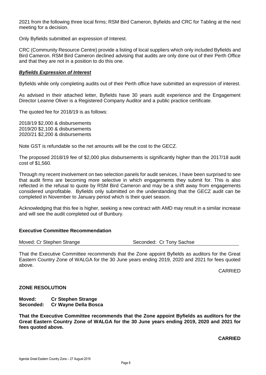2021 from the following three local firms; RSM Bird Cameron, Byfields and CRC for Tabling at the next meeting for a decision.

Only Byfields submitted an expression of Interest.

CRC (Community Resource Centre) provide a listing of local suppliers which only included Byfields and Bird Cameron. RSM Bird Cameron declined advising that audits are only done out of their Perth Office and that they are not in a position to do this one.

#### *Byfields Expression of Interest*

Byfields while only completing audits out of their Perth office have submitted an expression of interest.

As advised in their attached letter, Byfields have 30 years audit experience and the Engagement Director Leanne Oliver is a Registered Company Auditor and a public practice certificate.

The quoted fee for 2018/19 is as follows:

2018/19 \$2,000 & disbursements 2019/20 \$2,100 & disbursements 2020/21 \$2,200 & disbursements

Note GST is refundable so the net amounts will be the cost to the GECZ.

The proposed 2018/19 fee of \$2,000 plus disbursements is significantly higher than the 2017/18 audit cost of \$1,560.

Through my recent involvement on two selection panels for audit services, I have been surprised to see that audit firms are becoming more selective in which engagements they submit for. This is also reflected in the refusal to quote by RSM Bird Cameron and may be a shift away from engagements considered unprofitable. Byfields only submitted on the understanding that the GECZ audit can be completed in November to January period which is their quiet season.

Acknowledging that this fee is higher, seeking a new contract with AMD may result in a similar increase and will see the audit completed out of Bunbury.

#### **Executive Committee Recommendation**

Moved: Cr Stephen Strange Superstanding Seconded: Cr Tony Sachse

That the Executive Committee recommends that the Zone appoint Byfields as auditors for the Great Eastern Country Zone of WALGA for the 30 June years ending 2019, 2020 and 2021 for fees quoted above.

CARRIED

#### **ZONE RESOLUTION**

**Moved: Cr Stephen Strange Seconded: Cr Wayne Della Bosca**

**That the Executive Committee recommends that the Zone appoint Byfields as auditors for the Great Eastern Country Zone of WALGA for the 30 June years ending 2019, 2020 and 2021 for fees quoted above.**

**CARRIED**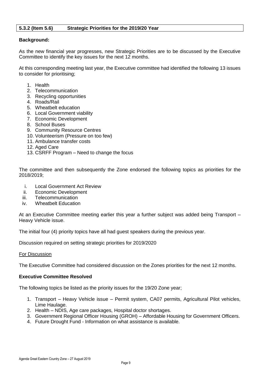### <span id="page-8-0"></span>**5.3.2 (Item 5.6) Strategic Priorities for the 2019/20 Year**

#### **Background:**

As the new financial year progresses, new Strategic Priorities are to be discussed by the Executive Committee to identify the key issues for the next 12 months.

At this corresponding meeting last year, the Executive committee had identified the following 13 issues to consider for prioritising;

- 1. Health
- 2. Telecommunication
- 3. Recycling opportunities
- 4. Roads/Rail
- 5. Wheatbelt education
- 6. Local Government viability
- 7. Economic Development
- 8. School Buses
- 9. Community Resource Centres
- 10. Volunteerism (Pressure on too few)
- 11. Ambulance transfer costs
- 12. Aged Care
- 13. CSRFF Program Need to change the focus

The committee and then subsequently the Zone endorsed the following topics as priorities for the 2018/2019;

- i. Local Government Act Review
- ii. Economic Development
- iii. Telecommunication
- iv. Wheatbelt Education

At an Executive Committee meeting earlier this year a further subject was added being Transport – Heavy Vehicle issue.

The initial four (4) priority topics have all had guest speakers during the previous year.

Discussion required on setting strategic priorities for 2019/2020

#### For Discussion

The Executive Committee had considered discussion on the Zones priorities for the next 12 months.

#### **Executive Committee Resolved**

The following topics be listed as the priority issues for the 19/20 Zone year;

- 1. Transport Heavy Vehicle issue Permit system, CA07 permits, Agricultural Pilot vehicles, Lime Haulage.
- 2. Health NDIS, Age care packages, Hospital doctor shortages.
- 3. Government Regional Officer Housing (GROH) Affordable Housing for Government Officers.
- 4. Future Drought Fund Information on what assistance is available.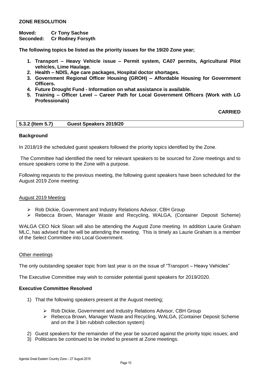# **ZONE RESOLUTION**

# **Moved: Cr Tony Sachse**

**Seconded: Cr Rodney Forsyth**

**The following topics be listed as the priority issues for the 19/20 Zone year;**

- **1. Transport – Heavy Vehicle issue – Permit system, CA07 permits, Agricultural Pilot vehicles, Lime Haulage.**
- **2. Health – NDIS, Age care packages, Hospital doctor shortages.**
- **3. Government Regional Officer Housing (GROH) – Affordable Housing for Government Officers.**
- **4. Future Drought Fund - Information on what assistance is available.**
- **5. Training – Officer Level – Career Path for Local Government Officers (Work with LG Professionals)**

#### **CARRIED**

<span id="page-9-0"></span>

| 5.3.2 (Item 5.7) | Guest Speakers 2019/20 |  |
|------------------|------------------------|--|
|                  |                        |  |

#### **Background**

In 2018/19 the scheduled guest speakers followed the priority topics identified by the Zone.

The Committee had identified the need for relevant speakers to be sourced for Zone meetings and to ensure speakers come to the Zone with a purpose.

Following requests to the previous meeting, the following guest speakers have been scheduled for the August 2019 Zone meeting:

#### August 2019 Meeting

- Rob Dickie, Government and Industry Relations Advisor, CBH Group
- Rebecca Brown, Manager Waste and Recycling, WALGA, (Container Deposit Scheme)

WALGA CEO Nick Sloan will also be attending the August Zone meeting. In addition Laurie Graham MLC, has advised that he will be attending the meeting. This is timely as Laurie Graham is a member of the Select Committee into Local Government.

#### Other meetings

The only outstanding speaker topic from last year is on the issue of "Transport – Heavy Vehicles"

The Executive Committee may wish to consider potential guest speakers for 2019/2020.

#### **Executive Committee Resolved**

- 1) That the following speakers present at the August meeting;
	- Rob Dickie, Government and Industry Relations Advisor, CBH Group
	- Rebecca Brown, Manager Waste and Recycling, WALGA, (Container Deposit Scheme and on the 3 bin rubbish collection system)
- 2) Guest speakers for the remainder of the year be sourced against the priority topic issues; and
- 3) Politicians be continued to be invited to present at Zone meetings.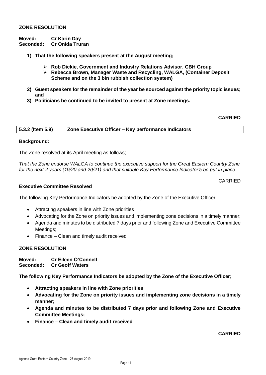#### **ZONE RESOLUTION**

**Moved: Cr Karin Day Seconded: Cr Onida Truran**

- **1) That the following speakers present at the August meeting;**
	- **Rob Dickie, Government and Industry Relations Advisor, CBH Group**
	- **Rebecca Brown, Manager Waste and Recycling, WALGA, (Container Deposit Scheme and on the 3 bin rubbish collection system)**
- **2) Guest speakers for the remainder of the year be sourced against the priority topic issues; and**
- **3) Politicians be continued to be invited to present at Zone meetings.**

#### **CARRIED**

<span id="page-10-0"></span>**5.3.2 (Item 5.9) Zone Executive Officer – Key performance Indicators**

#### **Background:**

The Zone resolved at its April meeting as follows;

*That the Zone endorse WALGA to continue the executive support for the Great Eastern Country Zone for the next 2 years (19/20 and 20/21) and that suitable Key Performance Indicator's be put in place.*

CARRIED

#### **Executive Committee Resolved**

The following Key Performance Indicators be adopted by the Zone of the Executive Officer;

- Attracting speakers in line with Zone priorities
- Advocating for the Zone on priority issues and implementing zone decisions in a timely manner;
- Agenda and minutes to be distributed 7 days prior and following Zone and Executive Committee Meetings;
- Finance Clean and timely audit received

#### **ZONE RESOLUTION**

**Moved: Cr Eileen O'Connell Seconded: Cr Geoff Waters**

**The following Key Performance Indicators be adopted by the Zone of the Executive Officer;**

- **Attracting speakers in line with Zone priorities**
- **Advocating for the Zone on priority issues and implementing zone decisions in a timely manner;**
- **Agenda and minutes to be distributed 7 days prior and following Zone and Executive Committee Meetings;**
- **Finance – Clean and timely audit received**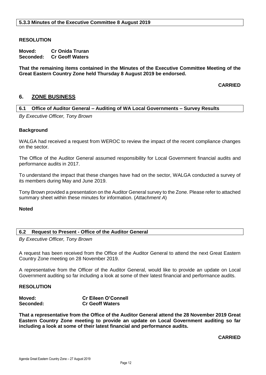#### <span id="page-11-0"></span>**RESOLUTION**

**Moved: Cr Onida Truran Seconded: Cr Geoff Waters**

**That the remaining items contained in the Minutes of the Executive Committee Meeting of the Great Eastern Country Zone held Thursday 8 August 2019 be endorsed.**

**CARRIED**

# <span id="page-11-2"></span><span id="page-11-1"></span>**6. ZONE BUSINESS**

#### **6.1 Office of Auditor General – Auditing of WA Local Governments – Survey Results**

*By Executive Officer, Tony Brown*

#### **Background**

WALGA had received a request from WEROC to review the impact of the recent compliance changes on the sector.

The Office of the Auditor General assumed responsibility for Local Government financial audits and performance audits in 2017.

To understand the impact that these changes have had on the sector, WALGA conducted a survey of its members during May and June 2019.

Tony Brown provided a presentation on the Auditor General survey to the Zone. Please refer to attached summary sheet within these minutes for information. (*Attachment A*)

**Noted**

#### <span id="page-11-3"></span>**6.2 Request to Present - Office of the Auditor General**

*By Executive Officer, Tony Brown*

A request has been received from the Office of the Auditor General to attend the next Great Eastern Country Zone meeting on 28 November 2019.

A representative from the Officer of the Auditor General, would like to provide an update on Local Government auditing so far including a look at some of their latest financial and performance audits.

#### **RESOLUTION**

| Moved:    | <b>Cr Eileen O'Connell</b> |
|-----------|----------------------------|
| Seconded: | <b>Cr Geoff Waters</b>     |

**That a representative from the Office of the Auditor General attend the 28 November 2019 Great Eastern Country Zone meeting to provide an update on Local Government auditing so far including a look at some of their latest financial and performance audits.**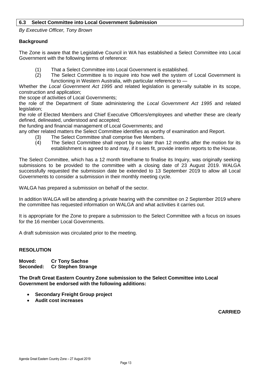#### <span id="page-12-0"></span>**6.3 Select Committee into Local Government Submission**

*By Executive Officer, Tony Brown*

#### **Background**

The Zone is aware that the Legislative Council in WA has established a Select Committee into Local Government with the following terms of reference:

- (1) That a Select Committee into Local Government is established.
- (2) The Select Committee is to inquire into how well the system of Local Government is functioning in Western Australia, with particular reference to —

Whether the *Local Government Act 1995* and related legislation is generally suitable in its scope, construction and application;

the scope of activities of Local Governments;

the role of the Department of State administering the *Local Government Act 1995* and related legislation:

the role of Elected Members and Chief Executive Officers/employees and whether these are clearly defined, delineated, understood and accepted;

the funding and financial management of Local Governments; and

any other related matters the Select Committee identifies as worthy of examination and Report.

- (3) The Select Committee shall comprise five Members.
- (4) The Select Committee shall report by no later than 12 months after the motion for its establishment is agreed to and may, if it sees fit, provide interim reports to the House.

The Select Committee, which has a 12 month timeframe to finalise its Inquiry, was originally seeking submissions to be provided to the committee with a closing date of 23 August 2019. WALGA successfully requested the submission date be extended to 13 September 2019 to allow all Local Governments to consider a submission in their monthly meeting cycle.

WALGA has prepared a submission on behalf of the sector.

In addition WALGA will be attending a private hearing with the committee on 2 September 2019 where the committee has requested information on WALGA and what activities it carries out.

It is appropriate for the Zone to prepare a submission to the Select Committee with a focus on issues for the 16 member Local Governments.

A draft submission was circulated prior to the meeting.

#### **RESOLUTION**

**Moved: Cr Tony Sachse Seconded: Cr Stephen Strange**

**The Draft Great Eastern Country Zone submission to the Select Committee into Local Government be endorsed with the following additions:**

- **Secondary Freight Group project**
- **Audit cost increases**

**CARRIED**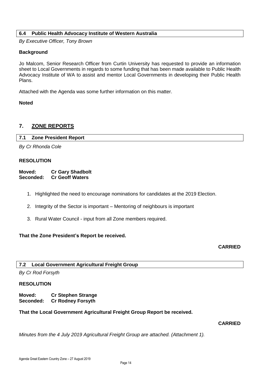### <span id="page-13-0"></span>**6.4 Public Health Advocacy Institute of Western Australia**

*By Executive Officer, Tony Brown*

#### **Background**

Jo Malcom, Senior Research Officer from Curtin University has requested to provide an information sheet to Local Governments in regards to some funding that has been made available to Public Health Advocacy Institute of WA to assist and mentor Local Governments in developing their Public Health Plans.

Attached with the Agenda was some further information on this matter.

#### **Noted**

# <span id="page-13-2"></span><span id="page-13-1"></span>**7. ZONE REPORTS**

#### **7.1 Zone President Report**

*By Cr Rhonda Cole*

#### **RESOLUTION**

**Moved: Cr Gary Shadbolt Seconded: Cr Geoff Waters**

- 1. Highlighted the need to encourage nominations for candidates at the 2019 Election.
- 2. Integrity of the Sector is important Mentoring of neighbours is important
- 3. Rural Water Council input from all Zone members required.

#### **That the Zone President's Report be received.**

# **CARRIED**

### <span id="page-13-3"></span>**7.2 Local Government Agricultural Freight Group**

*By Cr Rod Forsyth*

#### **RESOLUTION**

**Moved: Cr Stephen Strange Seconded: Cr Rodney Forsyth**

### **That the Local Government Agricultural Freight Group Report be received.**

# **CARRIED**

*Minutes from the 4 July 2019 Agricultural Freight Group are attached. (Attachment 1).*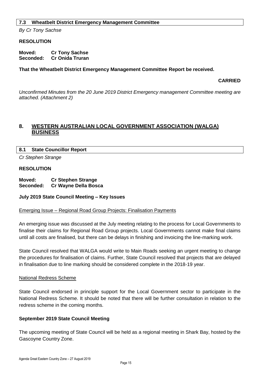#### <span id="page-14-0"></span>**7.3 Wheatbelt District Emergency Management Committee**

*By Cr Tony Sachse*

#### **RESOLUTION**

**Moved: Cr Tony Sachse Seconded: Cr Onida Truran**

#### **That the Wheatbelt District Emergency Management Committee Report be received.**

#### **CARRIED**

*Unconfirmed Minutes from the 20 June 2019 District Emergency management Committee meeting are attached. (Attachment 2)*

# <span id="page-14-1"></span>**8. WESTERN AUSTRALIAN LOCAL GOVERNMENT ASSOCIATION (WALGA) BUSINESS**

#### <span id="page-14-2"></span>**8.1 State Councillor Report**

*Cr Stephen Strange*

#### **RESOLUTION**

**Moved: Cr Stephen Strange Seconded: Cr Wayne Della Bosca**

#### **July 2019 State Council Meeting – Key Issues**

#### Emerging Issue – Regional Road Group Projects: Finalisation Payments

An emerging issue was discussed at the July meeting relating to the process for Local Governments to finalise their claims for Regional Road Group projects. Local Governments cannot make final claims until all costs are finalised, but there can be delays in finishing and invoicing the line-marking work.

State Council resolved that WALGA would write to Main Roads seeking an urgent meeting to change the procedures for finalisation of claims. Further, State Council resolved that projects that are delayed in finalisation due to line marking should be considered complete in the 2018-19 year.

#### National Redress Scheme

State Council endorsed in principle support for the Local Government sector to participate in the National Redress Scheme. It should be noted that there will be further consultation in relation to the redress scheme in the coming months.

#### **September 2019 State Council Meeting**

The upcoming meeting of State Council will be held as a regional meeting in Shark Bay, hosted by the Gascoyne Country Zone.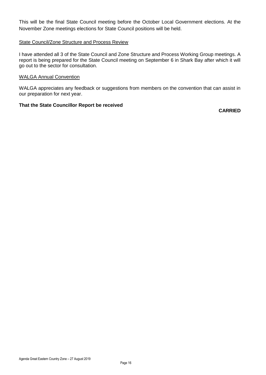This will be the final State Council meeting before the October Local Government elections. At the November Zone meetings elections for State Council positions will be held.

#### State Council/Zone Structure and Process Review

I have attended all 3 of the State Council and Zone Structure and Process Working Group meetings. A report is being prepared for the State Council meeting on September 6 in Shark Bay after which it will go out to the sector for consultation.

#### WALGA Annual Convention

WALGA appreciates any feedback or suggestions from members on the convention that can assist in our preparation for next year.

### **That the State Councillor Report be received**

**CARRIED**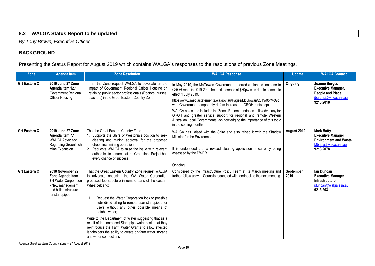# **8.2 WALGA Status Report to be updated**

*By Tony Brown, Executive Officer*

# **BACKGROUND**

Presenting the Status Report for August 2019 which contains WALGA's responses to the resolutions of previous Zone Meetings.

<span id="page-16-0"></span>

| Zone                 | <b>Agenda Item</b>                                                                                                           | <b>Zone Resolution</b>                                                                                                                                                                                                                                                                                                                                                                                                                                                                                                                                                                                                   | <b>WALGA Response</b>                                                                                                                                                                                                                                                                                                                                                                                                                                                                                                                                       | <b>Update</b>     | <b>WALGA Contact</b>                                                                                              |
|----------------------|------------------------------------------------------------------------------------------------------------------------------|--------------------------------------------------------------------------------------------------------------------------------------------------------------------------------------------------------------------------------------------------------------------------------------------------------------------------------------------------------------------------------------------------------------------------------------------------------------------------------------------------------------------------------------------------------------------------------------------------------------------------|-------------------------------------------------------------------------------------------------------------------------------------------------------------------------------------------------------------------------------------------------------------------------------------------------------------------------------------------------------------------------------------------------------------------------------------------------------------------------------------------------------------------------------------------------------------|-------------------|-------------------------------------------------------------------------------------------------------------------|
| <b>Grt Eastern C</b> | 2019 June 27 Zone<br>Agenda Item 12.1<br>Government Regional<br>Officer Housing                                              | That the Zone request WALGA to advocate on the<br>impact of Government Regional Officer Housing on<br>retaining public sector professionals (Doctors, nurses,<br>teachers) in the Great Eastern Country Zone.                                                                                                                                                                                                                                                                                                                                                                                                            | In May 2019, the McGowan Government deferred a planned increase to<br>GROH rents in 2019-20. The next increase of \$30pw was due to come into<br>effect 1 July 2019.<br>https://www.mediastatements.wa.gov.au/Pages/McGowan/2019/05/McGo<br>wan-Government-temporarily-defers-increase-to-GROH-rents.aspx<br>WALGA notes and includes the Zones Recommendation in its advocacy for<br>GROH and greater service support for regional and remote Western<br>Australian Local Governments, acknowledging the importance of this topic<br>in the coming months. | <b>Ongoing</b>    | Joanne Burges<br><b>Executive Manager,</b><br><b>People and Place</b><br>jburges@walga.asn.au<br>9213 2018        |
| <b>Grt Eastern C</b> | 2019 June 27 Zone<br>Agenda Item 7.1<br><b>WALGA Advocacy</b><br>Regarding Greenfinch<br>Mine Expansion                      | That the Great Eastern Country Zone<br>Supports the Shire of Westonia's position to seek<br>clearing and mining approval for the proposed<br>Greenfinch mining operation.<br>2. Requests WALGA to raise the issue with relevant<br>authorities to ensure that the Greenfinch Project has<br>every chance of success.                                                                                                                                                                                                                                                                                                     | WALGA has liaised with the Shire and also raised it with the Shadow<br>Minister for the Environment.<br>It is understood that a revised clearing application is currently being<br>assessed by the DWER.<br>Ongoing.                                                                                                                                                                                                                                                                                                                                        | August 2019       | <b>Mark Batty</b><br><b>Executive Manager</b><br><b>Environment and Waste</b><br>Mbatty@walga.asn.au<br>9213 2078 |
| <b>Grt Eastern C</b> | 2018 November 29<br>Zone Agenda Item<br>7.4 Water Corporation<br>- New management<br>and billing structure<br>for standpipes | That the Great Eastern Country Zone request WALGA<br>to advocate opposing the WA Water Corporation<br>proposed fee structure in remote parts of the eastern<br>Wheatbelt and;<br>Request the Water Corporation look to possible<br>1.<br>subsidised billing to remote user standpipes for<br>users without any other possible means of<br>potable water:<br>Write to the Department of Water suggesting that as a<br>result of the increased Standpipe water costs that they<br>re-introduce the Farm Water Grants to allow effected<br>landholders the ability to create on-farm water storage<br>and water connections | Considered by the Infrastructure Policy Team at its March meeting and<br>further follow-up with Councils requested with feedback to the next meeting.                                                                                                                                                                                                                                                                                                                                                                                                       | September<br>2019 | lan Duncan<br><b>Executive Manager</b><br>Infrastructure<br>iduncan@walga.asn.au<br>9213 2031                     |

Agenda Great Eastern Country Zone – 27 August 2019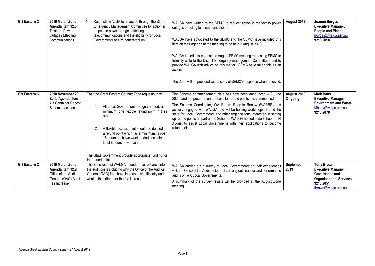| <b>Grt Eastern C</b> | 2019 March Zone<br>Agenda Item 12.3<br>Telstra - Power<br><b>Outages Effecting</b><br>Communications | Requests WALGA to advocate through the State<br>Emergency Management Committee for action in<br>respect to power outages effecting<br>telecommunications and the eligibility for Local<br>Governments to turn generators on.                                                                                                                                                                                                 | WALGA have written to the SEMC to request action in respect to power<br>outages effecting telecommunications.<br>WALGA have advocated to the SEMC and the SEMC have included this<br>item on their agenda at the meeting to be held 2 August 2019.<br>WALGA tabled this issue at the August SEMC meeting requesting SEMC to<br>formally write to the District Emergency management Committees and to<br>provide WALGA with advice on this matter. SEMC have taken this as an<br>action.<br>The Zone will be provided with a copy of SEMC's response when received. | August 2019            | Joanne Burges<br><b>Executive Manager,</b><br><b>People and Place</b><br>jburges@walga.asn.au<br>9213 2018                            |
|----------------------|------------------------------------------------------------------------------------------------------|------------------------------------------------------------------------------------------------------------------------------------------------------------------------------------------------------------------------------------------------------------------------------------------------------------------------------------------------------------------------------------------------------------------------------|--------------------------------------------------------------------------------------------------------------------------------------------------------------------------------------------------------------------------------------------------------------------------------------------------------------------------------------------------------------------------------------------------------------------------------------------------------------------------------------------------------------------------------------------------------------------|------------------------|---------------------------------------------------------------------------------------------------------------------------------------|
| <b>Grt Eastern C</b> | 2018 November 29<br>Zone Agenda Item<br>7.3 Container Deposit<br>Scheme Locations                    | That the Great Eastern Country Zone requests that:<br>All Local Governments be guaranteed, as a<br>1.<br>minimum, one flexible refund point in their<br>area.<br>A flexible access point should be defined as<br>2.<br>a refund point which, as a minimum, is open<br>16 hours each two week period, including at<br>least 8 hours at weekends<br>The State Government provide appropriate funding for<br>the refund points. | The Scheme commencement date has now been announced $-2$ June<br>2020, and the procurement process for refund points has commenced.<br>The Scheme Coordinator, WA Return Recycle Renew (WARRR) has<br>actively engaged with WALGA and will be hosting workshops around the<br>state for Local Governments and other organisations interested in setting<br>up refund points as part of the Scheme. WALGA hosted a workshop on 14<br>August to assist Local Governments with their applications to become<br>refund points.                                         | August 2019<br>Ongoing | <b>Mark Batty</b><br><b>Executive Manager</b><br><b>Environment and Waste</b><br>Mbatty@walga.asn.au<br>9213 2078                     |
| <b>Grt Eastern C</b> | 2019 March Zone<br>Agenda Item 12.2<br>Office of the Auditor<br>General (OAG) Audit<br>Fee Increase  | The Zone request WALGA to undertake research into<br>the audit costs including why the Office of the Auditor<br>General (OAG) fees have increased significantly and<br>what is the criteria for the fee increases.                                                                                                                                                                                                           | WALGA carried out a survey of Local Governments on their experiences<br>with the Office of the Auditor General carrying out financial and performance<br>audits on WA Local Governments.<br>A summary of the survey results will be provided at the August Zone<br>meeting                                                                                                                                                                                                                                                                                         | September<br>2019      | <b>Tony Brown</b><br><b>Executive Manager</b><br>Governance and<br><b>Organisational Services</b><br>9213 2051<br>tbrown@walga.asn.au |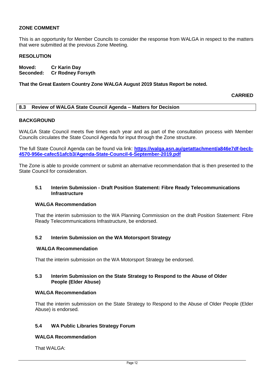# **ZONE COMMENT**

This is an opportunity for Member Councils to consider the response from WALGA in respect to the matters that were submitted at the previous Zone Meeting.

#### **RESOLUTION**

**Moved: Cr Karin Day Seconded: Cr Rodney Forsyth**

#### **That the Great Eastern Country Zone WALGA August 2019 Status Report be noted.**

#### **CARRIED**

#### <span id="page-18-0"></span>**8.3 Review of WALGA State Council Agenda – Matters for Decision**

#### **BACKGROUND**

WALGA State Council meets five times each year and as part of the consultation process with Member Councils circulates the State Council Agenda for input through the Zone structure.

The full State Council Agenda can be found via link: **[https://walga.asn.au/getattachment/a846e7df-becb-](https://walga.asn.au/getattachment/a846e7df-becb-4570-956e-cafec51afcb3/Agenda-State-Council-6-September-2019.pdf)[4570-956e-cafec51afcb3/Agenda-State-Council-6-September-2019.pdf](https://walga.asn.au/getattachment/a846e7df-becb-4570-956e-cafec51afcb3/Agenda-State-Council-6-September-2019.pdf)**

The Zone is able to provide comment or submit an alternative recommendation that is then presented to the State Council for consideration.

#### **5.1 Interim Submission - Draft Position Statement: Fibre Ready Telecommunications Infrastructure**

#### **WALGA Recommendation**

That the interim submission to the WA Planning Commission on the draft Position Statement: Fibre Ready Telecommunications Infrastructure, be endorsed.

### **5.2 Interim Submission on the WA Motorsport Strategy**

#### **WALGA Recommendation**

That the interim submission on the WA Motorsport Strategy be endorsed.

#### **5.3 Interim Submission on the State Strategy to Respond to the Abuse of Older People (Elder Abuse)**

#### **WALGA Recommendation**

That the interim submission on the State Strategy to Respond to the Abuse of Older People (Elder Abuse) is endorsed.

### **5.4 WA Public Libraries Strategy Forum**

#### **WALGA Recommendation**

That WAI GA: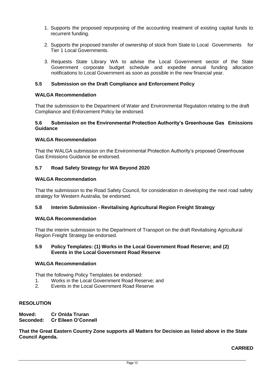- 1. Supports the proposed repurposing of the accounting treatment of existing capital funds to recurrent funding.
- 2. Supports the proposed transfer of ownership of stock from State to Local Governments for Tier 1 Local Governments.
- 3. Requests State Library WA to advise the Local Government sector of the State Government corporate budget schedule and expedite annual funding allocation notifications to Local Government as soon as possible in the new financial year.

# **5.5 Submission on the Draft Compliance and Enforcement Policy**

### **WALGA Recommendation**

That the submission to the Department of Water and Environmental Regulation relating to the draft Compliance and Enforcement Policy be endorsed.

### **5.6 Submission on the Environmental Protection Authority's Greenhouse Gas Emissions Guidance**

### **WALGA Recommendation**

That the WALGA submission on the Environmental Protection Authority's proposed Greenhouse Gas Emissions Guidance be endorsed.

# **5.7 Road Safety Strategy for WA Beyond 2020**

### **WALGA Recommendation**

That the submission to the Road Safety Council, for consideration in developing the next road safety strategy for Western Australia, be endorsed.

### **5.8 Interim Submission - Revitalising Agricultural Region Freight Strategy**

### **WALGA Recommendation**

That the interim submission to the Department of Transport on the draft Revitalising Agricultural Region Freight Strategy be endorsed.

#### **5.9 Policy Templates: (1) Works in the Local Government Road Reserve; and (2) Events in the Local Government Road Reserve**

# **WALGA Recommendation**

That the following Policy Templates be endorsed:

- 1. Works in the Local Government Road Reserve; and
- 2. Events in the Local Government Road Reserve

# **RESOLUTION**

**Moved: Cr Onida Truran Seconded: Cr Eileen O'Connell**

**That the Great Eastern Country Zone supports all Matters for Decision as listed above in the State Council Agenda.**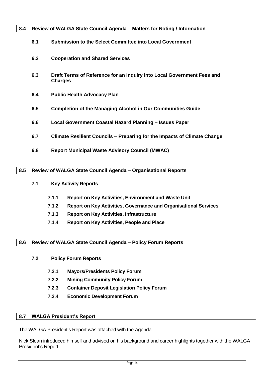# <span id="page-20-0"></span>**8.4 Review of WALGA State Council Agenda – Matters for Noting / Information**

| 6.1 | Submission to the Select Committee into Local Government                                 |
|-----|------------------------------------------------------------------------------------------|
| 6.2 | <b>Cooperation and Shared Services</b>                                                   |
| 6.3 | Draft Terms of Reference for an Inquiry into Local Government Fees and<br><b>Charges</b> |
| 6.4 | <b>Public Health Advocacy Plan</b>                                                       |
| 6.5 | <b>Completion of the Managing Alcohol in Our Communities Guide</b>                       |
| 6.6 | Local Government Coastal Hazard Planning - Issues Paper                                  |
| 6.7 | Climate Resilient Councils – Preparing for the Impacts of Climate Change                 |
| 6.8 | <b>Report Municipal Waste Advisory Council (MWAC)</b>                                    |

# <span id="page-20-1"></span>**8.5 Review of WALGA State Council Agenda – Organisational Reports**

# **7.1 Key Activity Reports**

- **7.1.1 Report on Key Activities, Environment and Waste Unit**
- **7.1.2 Report on Key Activities, Governance and Organisational Services**
- **7.1.3 Report on Key Activities, Infrastructure**
- **7.1.4 Report on Key Activities, People and Place**

# <span id="page-20-2"></span>**8.6 Review of WALGA State Council Agenda – Policy Forum Reports**

- **7.2 Policy Forum Reports**
	- **7.2.1 Mayors/Presidents Policy Forum**
	- **7.2.2 Mining Community Policy Forum**
	- **7.2.3 Container Deposit Legislation Policy Forum**
	- **7.2.4 Economic Development Forum**

# <span id="page-20-3"></span>**8.7 WALGA President's Report**

The WALGA President's Report was attached with the Agenda.

Nick Sloan introduced himself and advised on his background and career highlights together with the WALGA President's Report.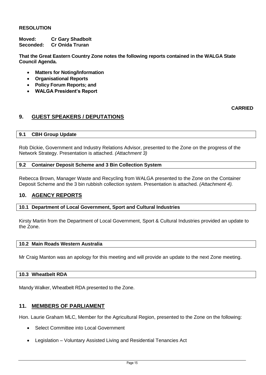# **RESOLUTION**

**Moved: Cr Gary Shadbolt Seconded: Cr Onida Truran**

**That the Great Eastern Country Zone notes the following reports contained in the WALGA State Council Agenda.**

- **Matters for Noting/Information**
- **Organisational Reports**
- **Policy Forum Reports; and**
- **WALGA President's Report**

# **CARRIED**

# <span id="page-21-0"></span>**9. GUEST SPEAKERS / DEPUTATIONS**

### <span id="page-21-1"></span>**9.1 CBH Group Update**

Rob Dickie, Government and Industry Relations Advisor, presented to the Zone on the progress of the Network Strategy. Presentation is attached. *(Attachment 3)*

# <span id="page-21-2"></span>**9.2 Container Deposit Scheme and 3 Bin Collection System**

Rebecca Brown, Manager Waste and Recycling from WALGA presented to the Zone on the Container Deposit Scheme and the 3 bin rubbish collection system. Presentation is attached. *(Attachment 4).*

# <span id="page-21-4"></span><span id="page-21-3"></span>**10. AGENCY REPORTS**

### **10.1 Department of Local Government, Sport and Cultural Industries**

Kirsty Martin from the Department of Local Government, Sport & Cultural Industries provided an update to the Zone.

### <span id="page-21-5"></span>**10.2 Main Roads Western Australia**

Mr Craig Manton was an apology for this meeting and will provide an update to the next Zone meeting.

# <span id="page-21-6"></span>**10.3 Wheatbelt RDA**

Mandy Walker, Wheatbelt RDA presented to the Zone.

# <span id="page-21-7"></span>**11. MEMBERS OF PARLIAMENT**

Hon. Laurie Graham MLC, Member for the Agricultural Region, presented to the Zone on the following:

- Select Committee into Local Government
- Legislation Voluntary Assisted Living and Residential Tenancies Act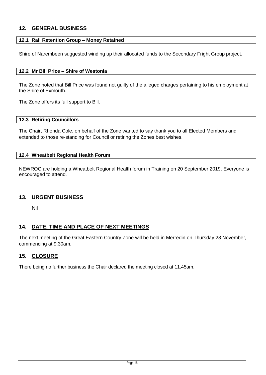# <span id="page-22-0"></span>**12. GENERAL BUSINESS**

# <span id="page-22-1"></span>**12.1 Rail Retention Group – Money Retained**

Shire of Narembeen suggested winding up their allocated funds to the Secondary Fright Group project.

# <span id="page-22-2"></span>**12.2 Mr Bill Price – Shire of Westonia**

The Zone noted that Bill Price was found not guilty of the alleged charges pertaining to his employment at the Shire of Exmouth.

The Zone offers its full support to Bill.

### <span id="page-22-3"></span>**12.3 Retiring Councillors**

The Chair, Rhonda Cole, on behalf of the Zone wanted to say thank you to all Elected Members and extended to those re-standing for Council or retiring the Zones best wishes.

### <span id="page-22-4"></span>**12.4 Wheatbelt Regional Health Forum**

NEWROC are holding a Wheatbelt Regional Health forum in Training on 20 September 2019. Everyone is encouraged to attend.

# <span id="page-22-5"></span>**13. URGENT BUSINESS**

Nil

# <span id="page-22-6"></span>**14. DATE, TIME AND PLACE OF NEXT MEETINGS**

The next meeting of the Great Eastern Country Zone will be held in Merredin on Thursday 28 November, commencing at 9.30am.

# <span id="page-22-7"></span>**15. CLOSURE**

There being no further business the Chair declared the meeting closed at 11.45am.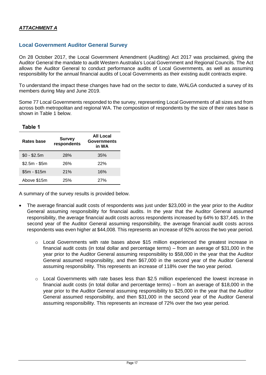# **Local Government Auditor General Survey**

On 28 October 2017, the Local Government Amendment (Auditing) Act 2017 was proclaimed, giving the Auditor General the mandate to audit Western Australia's Local Government and Regional Councils. The Act allows the Auditor General to conduct performance audits of Local Governments, as well as assuming responsibility for the annual financial audits of Local Governments as their existing audit contracts expire.

To understand the impact these changes have had on the sector to date, WALGA conducted a survey of its members during May and June 2019.

Some 77 Local Governments responded to the survey, representing Local Governments of all sizes and from across both metropolitan and regional WA. The composition of respondents by the size of their rates base is shown in Table 1 below.

**Table 1**

| Rates base    | <b>Survey</b><br>respondents | All Local<br><b>Governments</b><br>in WA |
|---------------|------------------------------|------------------------------------------|
| $$0 - $2.5m$  | <b>28%</b>                   | 35%                                      |
| $$2.5m - $5m$ | 26%                          | 22%                                      |
| $$5m - $15m$  | 21%                          | 16%                                      |
| Above \$15m   | 25%                          | 27%                                      |

A summary of the survey results is provided below.

- The average financial audit costs of respondents was just under \$23,000 in the year prior to the Auditor General assuming responsibility for financial audits. In the year that the Auditor General assumed responsibility, the average financial audit costs across respondents increased by 64% to \$37,445. In the second year of the Auditor General assuming responsibility, the average financial audit costs across respondents was even higher at \$44,008. This represents an increase of 92% across the two year period.
	- $\circ$  Local Governments with rate bases above \$15 million experienced the greatest increase in financial audit costs (in total dollar and percentage terms) – from an average of \$31,000 in the year prior to the Auditor General assuming responsibility to \$58,000 in the year that the Auditor General assumed responsibility, and then \$67,000 in the second year of the Auditor General assuming responsibility. This represents an increase of 118% over the two year period.
	- $\circ$  Local Governments with rate bases less than \$2.5 million experienced the lowest increase in financial audit costs (in total dollar and percentage terms) – from an average of \$18,000 in the year prior to the Auditor General assuming responsibility to \$25,000 in the year that the Auditor General assumed responsibility, and then \$31,000 in the second year of the Auditor General assuming responsibility. This represents an increase of 72% over the two year period.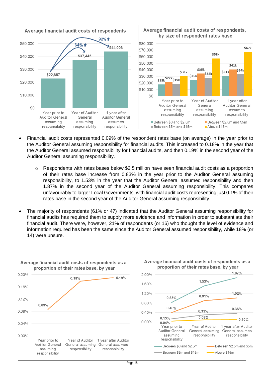

Average financial audit costs of respondents, by size of respondent rates base



- Financial audit costs represented 0.09% of the respondent rates base (on average) in the year prior to the Auditor General assuming responsibility for financial audits. This increased to 0.18% in the year that the Auditor General assumed responsibility for financial audits, and then 0.19% in the second year of the Auditor General assuming responsibility.
	- o Respondents with rates bases below \$2.5 million have seen financial audit costs as a proportion of their rates base increase from 0.83% in the year prior to the Auditor General assuming responsibility, to 1.53% in the year that the Auditor General assumed responsibility and then 1.87% in the second year of the Auditor General assuming responsibility. This compares unfavourably to larger Local Governments, with financial audit costs representing just 0.1% of their rates base in the second year of the Auditor General assuming responsibility.
- The majority of respondents (61% or 47) indicated that the Auditor General assuming responsibility for financial audits has required them to supply more evidence and information in order to substantiate their financial audit. There were, however, 21% of respondents (or 16) who thought the level of evidence and information required has been the same since the Auditor General assumed responsibility, while 18% (or 14) were unsure.



# Average financial audit costs of respondents as a proportion of their rates base, by year



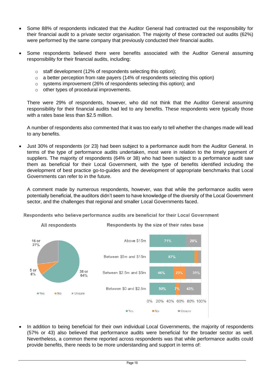- Some 88% of respondents indicated that the Auditor General had contracted out the responsibility for their financial audit to a private sector organisation. The majority of these contracted out audits (62%) were performed by the same company that previously conducted their financial audits.
- Some respondents believed there were benefits associated with the Auditor General assuming responsibility for their financial audits, including:
	- o staff development (12% of respondents selecting this option);
	- o a better perception from rate payers (14% of respondents selecting this option)
	- $\circ$  systems improvement (26% of respondents selecting this option); and
	- o other types of procedural improvements.

There were 29% of respondents, however, who did not think that the Auditor General assuming responsibility for their financial audits had led to any benefits. These respondents were typically those with a rates base less than \$2.5 million.

A number of respondents also commented that it was too early to tell whether the changes made will lead to any benefits.

 Just 30% of respondents (or 23) had been subject to a performance audit from the Auditor General. In terms of the type of performance audits undertaken, most were in relation to the timely payment of suppliers. The majority of respondents (64% or 38) who had been subject to a performance audit saw them as beneficial for their Local Government, with the type of benefits identified including the development of best practice go-to-guides and the development of appropriate benchmarks that Local Governments can refer to in the future.

A comment made by numerous respondents, however, was that while the performance audits were potentially beneficial, the auditors didn't seem to have knowledge of the diversity of the Local Government sector, and the challenges that regional and smaller Local Governments faced.

Respondents who believe performance audits are beneficial for their Local Government



• In addition to being beneficial for their own individual Local Governments, the majority of respondents (57% or 43) also believed that performance audits were beneficial for the broader sector as well. Nevertheless, a common theme reported across respondents was that while performance audits could provide benefits, there needs to be more understanding and support in terms of: